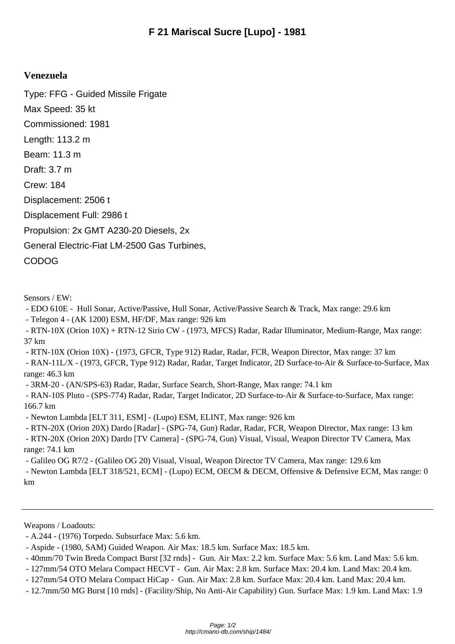## **Venezuela**

Type: FFG - Guided Missile Frigate Max Speed: 35 kt Commissioned: 1981 Length: 113.2 m Beam: 11.3 m Draft: 3.7 m Crew: 184 Displacement: 2506 t Displacement Full: 2986 t Propulsion: 2x GMT A230-20 Diesels, 2x General Electric-Fiat LM-2500 Gas Turbines, CODOG

Sensors / EW:

- EDO 610E - Hull Sonar, Active/Passive, Hull Sonar, Active/Passive Search & Track, Max range: 29.6 km

- Telegon 4 - (AK 1200) ESM, HF/DF, Max range: 926 km

 - RTN-10X (Orion 10X) + RTN-12 Sirio CW - (1973, MFCS) Radar, Radar Illuminator, Medium-Range, Max range: 37 km

- RTN-10X (Orion 10X) - (1973, GFCR, Type 912) Radar, Radar, FCR, Weapon Director, Max range: 37 km

 - RAN-11L/X - (1973, GFCR, Type 912) Radar, Radar, Target Indicator, 2D Surface-to-Air & Surface-to-Surface, Max range: 46.3 km

- 3RM-20 - (AN/SPS-63) Radar, Radar, Surface Search, Short-Range, Max range: 74.1 km

 - RAN-10S Pluto - (SPS-774) Radar, Radar, Target Indicator, 2D Surface-to-Air & Surface-to-Surface, Max range: 166.7 km

- Newton Lambda [ELT 311, ESM] - (Lupo) ESM, ELINT, Max range: 926 km

- RTN-20X (Orion 20X) Dardo [Radar] - (SPG-74, Gun) Radar, Radar, FCR, Weapon Director, Max range: 13 km

 - RTN-20X (Orion 20X) Dardo [TV Camera] - (SPG-74, Gun) Visual, Visual, Weapon Director TV Camera, Max range: 74.1 km

- Galileo OG R7/2 - (Galileo OG 20) Visual, Visual, Weapon Director TV Camera, Max range: 129.6 km

 - Newton Lambda [ELT 318/521, ECM] - (Lupo) ECM, OECM & DECM, Offensive & Defensive ECM, Max range: 0 km

Weapons / Loadouts:

 <sup>-</sup> A.244 - (1976) Torpedo. Subsurface Max: 5.6 km.

 <sup>-</sup> Aspide - (1980, SAM) Guided Weapon. Air Max: 18.5 km. Surface Max: 18.5 km.

 <sup>- 40</sup>mm/70 Twin Breda Compact Burst [32 rnds] - Gun. Air Max: 2.2 km. Surface Max: 5.6 km. Land Max: 5.6 km.

 <sup>- 127</sup>mm/54 OTO Melara Compact HECVT - Gun. Air Max: 2.8 km. Surface Max: 20.4 km. Land Max: 20.4 km.

 <sup>- 127</sup>mm/54 OTO Melara Compact HiCap - Gun. Air Max: 2.8 km. Surface Max: 20.4 km. Land Max: 20.4 km.

 <sup>- 12.7</sup>mm/50 MG Burst [10 rnds] - (Facility/Ship, No Anti-Air Capability) Gun. Surface Max: 1.9 km. Land Max: 1.9